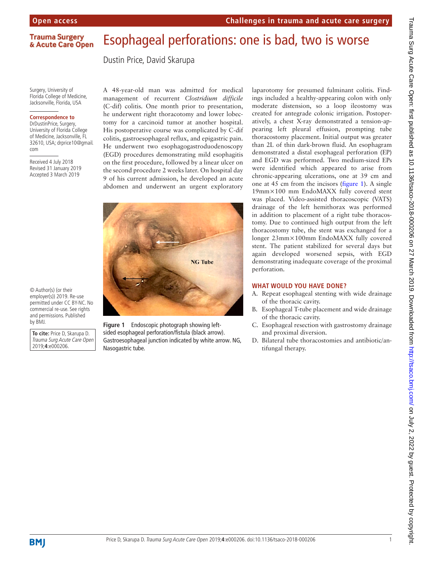### Esophageal perforations: one is bad, two is worse **Trauma Surgery** & Acute Care Open

Dustin Price, David Skarupa

Surgery, University of Florida College of Medicine, Jacksonville, Florida, USA

### **Correspondence to**

DrDustinPrice, Surgery, University of Florida College of Medicine, Jacksonville, FL 32610, USA; drprice10@gmail. com

Received 4 July 2018 Revised 31 January 2019 Accepted 3 March 2019

**To cite:** Price D, Skarupa D. Trauma Surg Acute Care Open 2019;**4**:e000206.

commercial re-use. See rights and permissions. Published<br>by BMJ.

© Author(s) (or their employer(s)) 2019. Re-use A 48-year-old man was admitted for medical management of recurrent *Clostridium difficile* (C-dif) colitis. One month prior to presentation, he underwent right thoracotomy and lower lobectomy for a carcinoid tumor at another hospital. His postoperative course was complicated by C-dif colitis, gastroesophageal reflux, and epigastric pain. He underwent two esophagogastroduodenoscopy (EGD) procedures demonstrating mild esophagitis on the first procedure, followed by a linear ulcer on the second procedure 2 weeks later. On hospital day 9 of his current admission, he developed an acute abdomen and underwent an urgent exploratory



<span id="page-0-0"></span>Figure 1 Endoscopic photograph showing leftsided esophageal perforation/fistula (black arrow). Gastroesophageal junction indicated by white arrow. NG, Nasogastric tube.

laparotomy for presumed fulminant colitis. Findings included a healthy-appearing colon with only moderate distension, so a loop ileostomy was created for antegrade colonic irrigation. Postoperatively, a chest X-ray demonstrated a tension-appearing left pleural effusion, prompting tube thoracostomy placement. Initial output was greater than 2L of thin dark-brown fluid. An esophagram demonstrated a distal esophageal perforation (EP) and EGD was performed. Two medium-sized EPs were identified which appeared to arise from chronic-appearing ulcerations, one at 39 cm and one at 45 cm from the incisors [\(figure](#page-0-0) 1). A single 19mm×100 mm EndoMAXX fully covered stent was placed. Video-assisted thoracoscopic (VATS) drainage of the left hemithorax was performed in addition to placement of a right tube thoracostomy. Due to continued high output from the left thoracostomy tube, the stent was exchanged for a longer 23mm×100mm EndoMAXX fully covered stent. The patient stabilized for several days but again developed worsened sepsis, with EGD demonstrating inadequate coverage of the proximal perforation.

## **What would you have done?**

- A. Repeat esophageal stenting with wide drainage of the thoracic cavity.
- B. Esophageal T-tube placement and wide drainage of the thoracic cavity.
- C. Esophageal resection with gastrostomy drainage and proximal diversion.
- D. Bilateral tube thoracostomies and antibiotic/antifungal therapy.